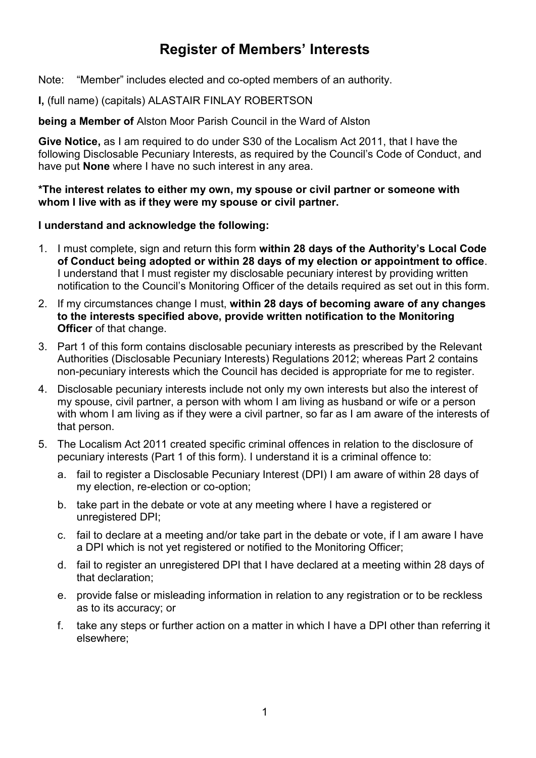# **Register of Members' Interests**

Note: "Member" includes elected and co-opted members of an authority.

### **I,** (full name) (capitals) ALASTAIR FINLAY ROBERTSON

**being a Member of** Alston Moor Parish Council in the Ward of Alston

**Give Notice,** as I am required to do under S30 of the Localism Act 2011, that I have the following Disclosable Pecuniary Interests, as required by the Council's Code of Conduct, and have put **None** where I have no such interest in any area.

**\*The interest relates to either my own, my spouse or civil partner or someone with whom I live with as if they were my spouse or civil partner.**

#### **I understand and acknowledge the following:**

- 1. I must complete, sign and return this form **within 28 days of the Authority's Local Code of Conduct being adopted or within 28 days of my election or appointment to office**. I understand that I must register my disclosable pecuniary interest by providing written notification to the Council's Monitoring Officer of the details required as set out in this form.
- 2. If my circumstances change I must, **within 28 days of becoming aware of any changes to the interests specified above, provide written notification to the Monitoring Officer** of that change.
- 3. Part 1 of this form contains disclosable pecuniary interests as prescribed by the Relevant Authorities (Disclosable Pecuniary Interests) Regulations 2012; whereas Part 2 contains non-pecuniary interests which the Council has decided is appropriate for me to register.
- 4. Disclosable pecuniary interests include not only my own interests but also the interest of my spouse, civil partner, a person with whom I am living as husband or wife or a person with whom I am living as if they were a civil partner, so far as I am aware of the interests of that person.
- 5. The Localism Act 2011 created specific criminal offences in relation to the disclosure of pecuniary interests (Part 1 of this form). I understand it is a criminal offence to:
	- a. fail to register a Disclosable Pecuniary Interest (DPI) I am aware of within 28 days of my election, re-election or co-option;
	- b. take part in the debate or vote at any meeting where I have a registered or unregistered DPI;
	- c. fail to declare at a meeting and/or take part in the debate or vote, if I am aware I have a DPI which is not yet registered or notified to the Monitoring Officer;
	- d. fail to register an unregistered DPI that I have declared at a meeting within 28 days of that declaration;
	- e. provide false or misleading information in relation to any registration or to be reckless as to its accuracy; or
	- f. take any steps or further action on a matter in which I have a DPI other than referring it elsewhere;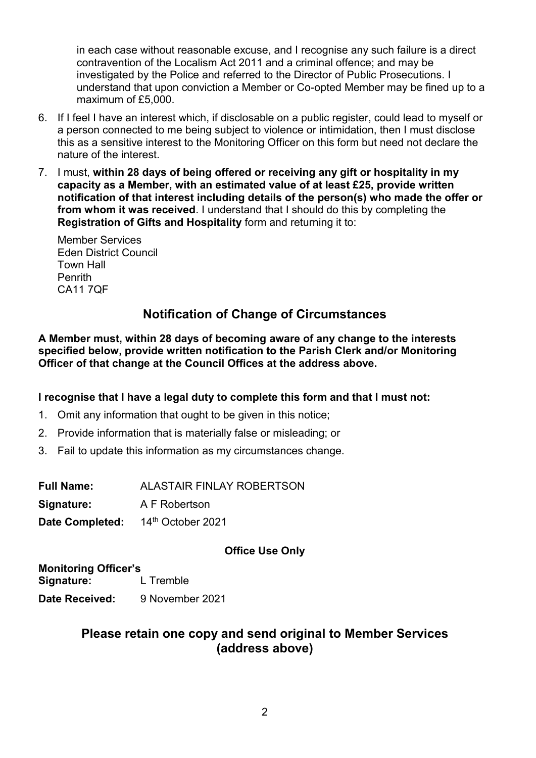in each case without reasonable excuse, and I recognise any such failure is a direct contravention of the Localism Act 2011 and a criminal offence; and may be investigated by the Police and referred to the Director of Public Prosecutions. I understand that upon conviction a Member or Co-opted Member may be fined up to a maximum of £5,000.

- 6. If I feel I have an interest which, if disclosable on a public register, could lead to myself or a person connected to me being subject to violence or intimidation, then I must disclose this as a sensitive interest to the Monitoring Officer on this form but need not declare the nature of the interest.
- 7. I must, **within 28 days of being offered or receiving any gift or hospitality in my capacity as a Member, with an estimated value of at least £25, provide written notification of that interest including details of the person(s) who made the offer or from whom it was received**. I understand that I should do this by completing the **Registration of Gifts and Hospitality** form and returning it to:

Member Services Eden District Council Town Hall Penrith CA11 7QF

## **Notification of Change of Circumstances**

**A Member must, within 28 days of becoming aware of any change to the interests specified below, provide written notification to the Parish Clerk and/or Monitoring Officer of that change at the Council Offices at the address above.**

### **I recognise that I have a legal duty to complete this form and that I must not:**

- 1. Omit any information that ought to be given in this notice;
- 2. Provide information that is materially false or misleading; or
- 3. Fail to update this information as my circumstances change.

| <b>Full Name:</b>      | <b>ALASTAIR FINLAY ROBERTSON</b> |
|------------------------|----------------------------------|
| Signature:             | A F Robertson                    |
| <b>Date Completed:</b> | 14th October 2021                |

### **Office Use Only**

**Monitoring Officer's Signature:** L Tremble **Date Received:** 9 November 2021

## **Please retain one copy and send original to Member Services (address above)**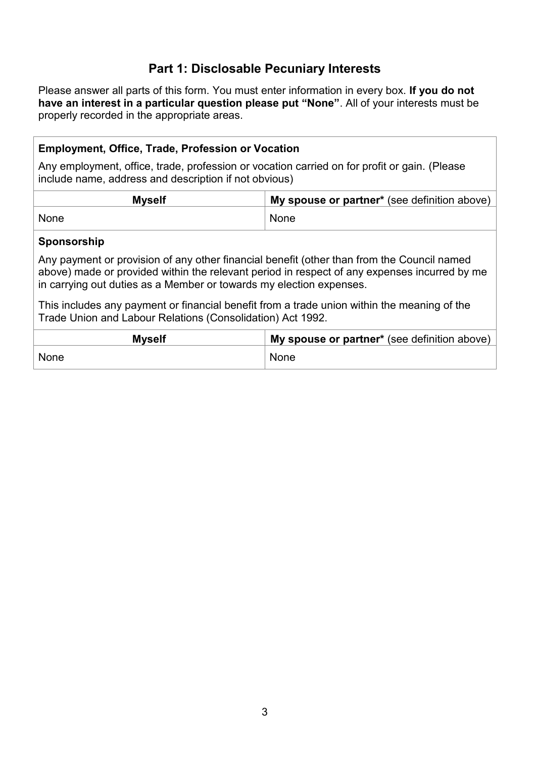## **Part 1: Disclosable Pecuniary Interests**

Please answer all parts of this form. You must enter information in every box. **If you do not have an interest in a particular question please put "None"**. All of your interests must be properly recorded in the appropriate areas.

### **Employment, Office, Trade, Profession or Vocation**

Any employment, office, trade, profession or vocation carried on for profit or gain. (Please include name, address and description if not obvious)

| <b>Myself</b> | <b>My spouse or partner</b> * (see definition above) |
|---------------|------------------------------------------------------|
| None          | None                                                 |

#### **Sponsorship**

Any payment or provision of any other financial benefit (other than from the Council named above) made or provided within the relevant period in respect of any expenses incurred by me in carrying out duties as a Member or towards my election expenses.

This includes any payment or financial benefit from a trade union within the meaning of the Trade Union and Labour Relations (Consolidation) Act 1992.

| <b>Myself</b> | My spouse or partner* (see definition above) |
|---------------|----------------------------------------------|
| None          | None                                         |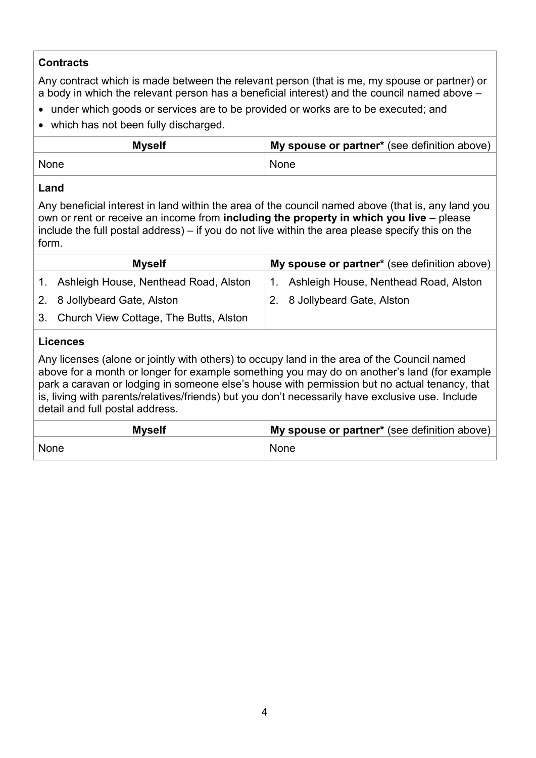## **Contracts**

Any contract which is made between the relevant person (that is me, my spouse or partner) or a body in which the relevant person has a beneficial interest) and the council named above –

- under which goods or services are to be provided or works are to be executed; and
- which has not been fully discharged.

| <b>Myself</b> | My spouse or partner* (see definition above) |
|---------------|----------------------------------------------|
| None          | None                                         |

### **Land**

Any beneficial interest in land within the area of the council named above (that is, any land you own or rent or receive an income from **including the property in which you live** – please include the full postal address) – if you do not live within the area please specify this on the form.

| <b>Myself</b> |                                           | My spouse or partner* (see definition above) |  |
|---------------|-------------------------------------------|----------------------------------------------|--|
|               | 1. Ashleigh House, Nenthead Road, Alston  | 1. Ashleigh House, Nenthead Road, Alston     |  |
|               | 2. 8 Jollybeard Gate, Alston              | 2. 8 Jollybeard Gate, Alston                 |  |
|               | 3. Church View Cottage, The Butts, Alston |                                              |  |
|               |                                           |                                              |  |

## **Licences**

Any licenses (alone or jointly with others) to occupy land in the area of the Council named above for a month or longer for example something you may do on another's land (for example park a caravan or lodging in someone else's house with permission but no actual tenancy, that is, living with parents/relatives/friends) but you don't necessarily have exclusive use. Include detail and full postal address.

| <b>Myself</b> | My spouse or partner* (see definition above) |  |
|---------------|----------------------------------------------|--|
| None          | <b>None</b>                                  |  |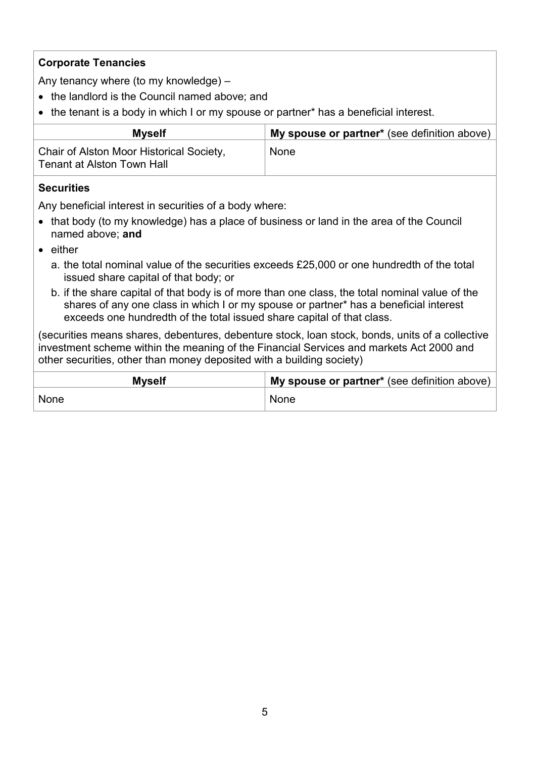## **Corporate Tenancies**

Any tenancy where (to my knowledge) –

- the landlord is the Council named above; and
- the tenant is a body in which I or my spouse or partner\* has a beneficial interest.

| <b>Myself</b>                                                          | My spouse or partner* (see definition above) |
|------------------------------------------------------------------------|----------------------------------------------|
| Chair of Alston Moor Historical Society,<br>Tenant at Alston Town Hall | None                                         |

#### **Securities**

Any beneficial interest in securities of a body where:

- that body (to my knowledge) has a place of business or land in the area of the Council named above; **and**
- either
	- a. the total nominal value of the securities exceeds £25,000 or one hundredth of the total issued share capital of that body; or
	- b. if the share capital of that body is of more than one class, the total nominal value of the shares of any one class in which I or my spouse or partner\* has a beneficial interest exceeds one hundredth of the total issued share capital of that class.

(securities means shares, debentures, debenture stock, loan stock, bonds, units of a collective investment scheme within the meaning of the Financial Services and markets Act 2000 and other securities, other than money deposited with a building society)

| <b>Myself</b> | My spouse or partner* (see definition above) |
|---------------|----------------------------------------------|
| None          | None                                         |